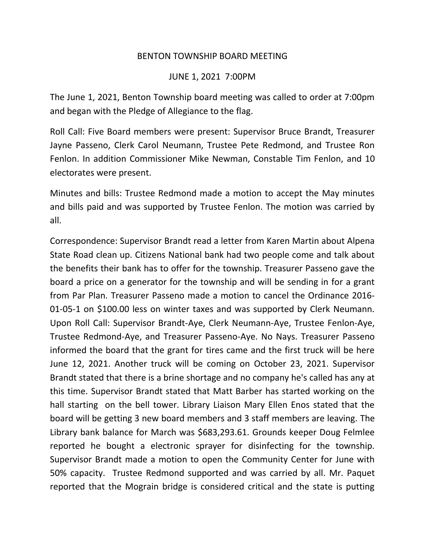## BENTON TOWNSHIP BOARD MEETING

## JUNE 1, 2021 7:00PM

The June 1, 2021, Benton Township board meeting was called to order at 7:00pm and began with the Pledge of Allegiance to the flag.

Roll Call: Five Board members were present: Supervisor Bruce Brandt, Treasurer Jayne Passeno, Clerk Carol Neumann, Trustee Pete Redmond, and Trustee Ron Fenlon. In addition Commissioner Mike Newman, Constable Tim Fenlon, and 10 electorates were present.

Minutes and bills: Trustee Redmond made a motion to accept the May minutes and bills paid and was supported by Trustee Fenlon. The motion was carried by all.

Correspondence: Supervisor Brandt read a letter from Karen Martin about Alpena State Road clean up. Citizens National bank had two people come and talk about the benefits their bank has to offer for the township. Treasurer Passeno gave the board a price on a generator for the township and will be sending in for a grant from Par Plan. Treasurer Passeno made a motion to cancel the Ordinance 2016- 01-05-1 on \$100.00 less on winter taxes and was supported by Clerk Neumann. Upon Roll Call: Supervisor Brandt-Aye, Clerk Neumann-Aye, Trustee Fenlon-Aye, Trustee Redmond-Aye, and Treasurer Passeno-Aye. No Nays. Treasurer Passeno informed the board that the grant for tires came and the first truck will be here June 12, 2021. Another truck will be coming on October 23, 2021. Supervisor Brandt stated that there is a brine shortage and no company he's called has any at this time. Supervisor Brandt stated that Matt Barber has started working on the hall starting on the bell tower. Library Liaison Mary Ellen Enos stated that the board will be getting 3 new board members and 3 staff members are leaving. The Library bank balance for March was \$683,293.61. Grounds keeper Doug Felmlee reported he bought a electronic sprayer for disinfecting for the township. Supervisor Brandt made a motion to open the Community Center for June with 50% capacity. Trustee Redmond supported and was carried by all. Mr. Paquet reported that the Mograin bridge is considered critical and the state is putting